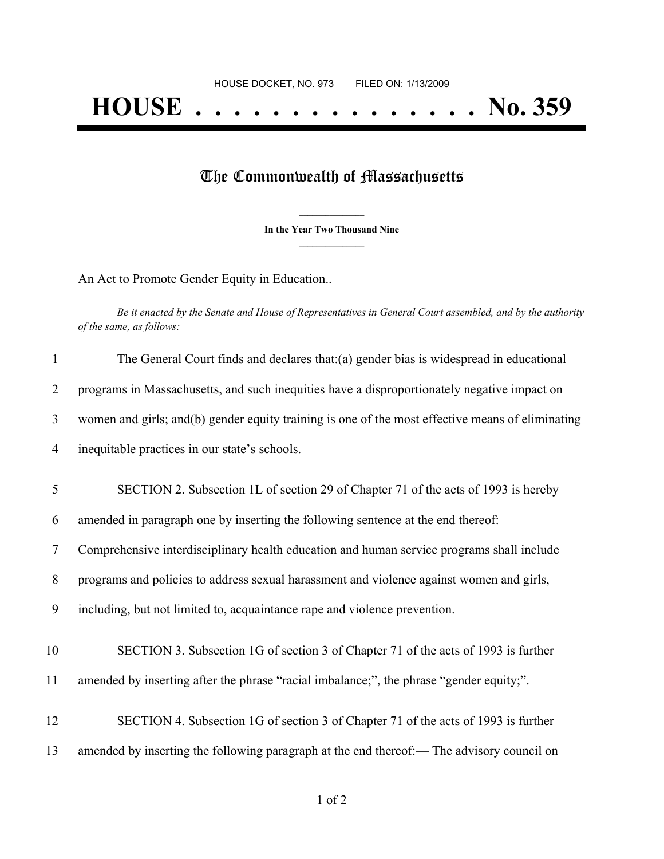## The Commonwealth of Massachusetts

**\_\_\_\_\_\_\_\_\_\_\_\_\_\_\_ In the Year Two Thousand Nine \_\_\_\_\_\_\_\_\_\_\_\_\_\_\_**

An Act to Promote Gender Equity in Education..

Be it enacted by the Senate and House of Representatives in General Court assembled, and by the authority *of the same, as follows:*

| $\mathbf{1}$   | The General Court finds and declares that: (a) gender bias is widespread in educational          |
|----------------|--------------------------------------------------------------------------------------------------|
| $\overline{2}$ | programs in Massachusetts, and such inequities have a disproportionately negative impact on      |
| 3              | women and girls; and(b) gender equity training is one of the most effective means of eliminating |
| 4              | inequitable practices in our state's schools.                                                    |
| 5              | SECTION 2. Subsection 1L of section 29 of Chapter 71 of the acts of 1993 is hereby               |
| 6              | amended in paragraph one by inserting the following sentence at the end thereof:-                |
| $\tau$         | Comprehensive interdisciplinary health education and human service programs shall include        |
| 8              | programs and policies to address sexual harassment and violence against women and girls,         |
| 9              | including, but not limited to, acquaintance rape and violence prevention.                        |
| 10             | SECTION 3. Subsection 1G of section 3 of Chapter 71 of the acts of 1993 is further               |
| 11             | amended by inserting after the phrase "racial imbalance;", the phrase "gender equity;".          |
| 12             | SECTION 4. Subsection 1G of section 3 of Chapter 71 of the acts of 1993 is further               |
| 13             | amended by inserting the following paragraph at the end thereof:— The advisory council on        |